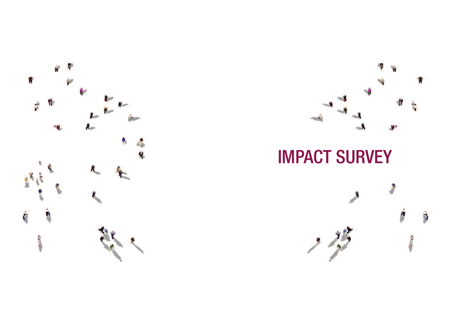



IMPACT SURVEY

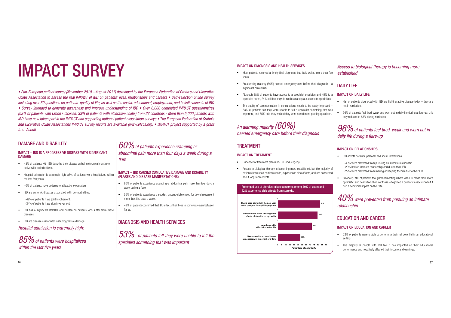# IMPACT SURVEY

• Pan-European patient survey (November 2010 – August 2011) developed by the European Federation of Crohn's and Ulcerative Colitis Association to assess the real IMPACT of IBD on patients' lives, relationships and careers • Self-selection online survev *including over 50 questions on patients' quality of life, as well as the social, educational, employment, and holistic aspects of IBD* · Survey intended to generate awareness and improve understanding of IBD • Over 6,000 completed IMPACT questionnaires (63% of patients with Crohn's disease; 33% of patients with ulcerative colitis) from 27 countries - More than 5,000 patients with IBD have now taken part in the IMPACT and supporting national patient association surveys . The European Federation of Crohn's and Ulcerative Colitis Associations IMPACT survey results are available (www.efcca.org) . IMPACT project supported by a grant *from Abbott*

 $\bullet$ 

 $\bullet$ 

## DAMAGE AND DISABILITY

#### IMPACT – IBD IS A PROGRESSIVE DISEASE WITH SIGNIFICANT DAMAGE

- 48% of patients with IBD describe their disease as being chronically active or active with periodic flares.
- Hospital admission is extremely high: 85% of patients were hospitalized within the last five years.
- 40% of patients have undergone at least one operation.
- t IBD are systemic diseases associated with co-morbidities:

- 49% of patients have joint involvement - 34% of patients have skin involvement.

- IBD has a significant IMPACT and burden on patients who suffer from these diseases.
- IBD are diseases associated with progressive damage.

*Hospital admission is extremely high:*

## $85\%$  of patients were hospitalized *within the last five years*

 *of patients experience cramping or abdominal pain more than four days a week during a flare*

#### IMPACT – IBD CAUSES CUMULATIVE DAMAGE AND DISABILITY (FLARES AND DISEASE MANIFESTATIONS)

- 60% of patients experience cramping or abdominal pain more than four days a week during a flare
- 55% of patients experience a sudden, uncontrollable need for bowel movement more than five days a week.
- 49% of patients confirmed that IBD effects their lives in some way even between flares.

## DIAGNOSIS AND HEALTH SERVICES

 *of patients felt they were unable to tell the specialist something that was important*

## IMPACT ON DIAGNOSIS AND HEALTH SERVICES

- Most patients received a timely final diagnosis, but 18% waited more than five years.
- An alarming majority (60%) needed emergency care before their diagnosis a significant clinical risk.
- Although 88% of patients have access to a specialist physician and 45% to a specialist nurse, 24% still feel they do not have adequate access to specialists
- ۰ The quality of communication in consultations needs to be vastly improved – 53% of patients felt they were unable to tell a specialist something that was important, and 65% said they wished they were asked more probing questions.

## An alarming majority  $(60\%)$ *needed emergency care before their diagnosis*

## TREATMENT

#### IMPACT ON TREATMENT

- Evidence for treatment plan (anti-TNF and surgery).
- $\bullet$  Access to biological therapy is becoming more established, but the majority of patients have used corticosteroids, experienced side effects, and are concerned about long-term effects.

Prolonged use of steroids raises concerns among 49% of users and 42% experience side effects from steroids.**52%49%42%28%<sup>0</sup> <sup>5</sup> <sup>10</sup> <sup>15</sup> <sup>20</sup> <sup>25</sup> <sup>30</sup> <sup>35</sup> <sup>40</sup> <sup>45</sup> <sup>50</sup> <sup>55</sup> <sup>60</sup> I keep steroids on hand to u as necessary in the event of a flareI experience side effects from steroidsI am concerned about the long-term effects of steroids on my health in the past year for my IBD symptomsI have used steroids in the past yearPercentage of patients (%)** 

## *Access to biological therapy is becoming more established*

## DAILY LIFF

### IMPACT ON DAILY LIFE

- $\bullet$  Half of patients diagnosed with IBD are fighting active disease today – they are not in remission.
- $\bullet$  96% of patients feel tired, weak and worn out in daily life during a flare-up; this only reduced to 83% during remission.

## $96\%$  of patients feel tired, weak and worn out in *daily life during a flare-up*

## IMPACT ON RELATIONSHIPS

۰

 $\bullet$ 

- IBD affects patients' personal and social interactions.
	- 40% were prevented from pursuing an intimate relationship.
	- 23% had an intimate relationship end due to their IBD.
	- 29% were prevented from making or keeping friends due to their IBD.
	- However, 39% of patients thought that meeting others with IBD made them more optimistic, and nearly two-thirds of those who joined a patients' association felt it had a beneficial impact on their life.

 $40\%$  were prevented from pursuing an intimate *relationship*

## EDUCATION AND CAREER

#### IMPACT ON EDUCATION AND CAREER

- ۰ 52% of patients were unable to perform to their full potential in an educational setting.
- The majority of people with IBD feel it has impacted on their educational performance and negatively affected their income and earnings.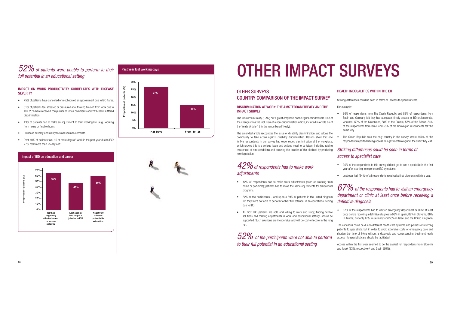## *of patients were unable to perform to their full potential in an educational setting*

#### IMPACT ON WORK PRODUCTIVITY CORRELATES WITH DISEASE **SEVERITY**

- 75% of patients have cancelled or rescheduled an appointment due to IBD flares.
- 61% of patients feel stressed or pressured about taking time off from work due to IBD; 25% have received complaints or unfair comments and 21% have suffered discrimination.
- 43% of patients had to make an adjustment to their working life (e.g., working from home or flexible hours)
- Disease severity and ability to work seem to correlate.
- Over 40% of patients took 10 or more days off work in the past year due to IBD: 27% took more than 25 days off.



## Impact of IBD on education and career



## Past year lost working days



## OTHER IMPACT SURVEYS

## OTHER SURVEYS

## COUNTRY COMPARISON OF THE IMPACT SURVEY

#### DISCRIMINATION AT WORK: THE AMSTERDAM TREATY AND THE IMPACT SURVEY

The Amsterdam Treaty (1997) put a great emphasis on the rights of individuals. One of the changes was the inclusion of a non-discrimination article, included in Article 6a of the Treaty (Article 13 in the renumbered Treaty).

The amended article recognizes the issue of disability discrimination, and allows the community to take action against disability discrimination. Results show that one in five respondents in our survey had experienced discrimination at the workplace, which proves this is a serious issue and actions need to be taken, including raising awareness of rare conditions and securing the position of the disabled by producing new legislation.

## $42\%$  of respondents had to make work adiustments

- t 42% of respondents had to make work adjustments (such as working from home or part-time); patients had to make the same adjustments for educational programs.
- 52% of the participants and up to a 69% of patients in the United Kingdom felt they were not able to perform to their full potential in an educational setting due to IBD.
- As most IBD patients are able and willing to work and study, finding flexible solutions and making adjustments in work and educational settings should be supported. Such solutions are inexpensive and will be cost-effective in the long run.

 $52\%$  of the participants were not able to perform *to their full potential in an educational setting*

### HEALTH INFOLIALITIES WITHIN THE ELL

Striking differences could be seen in terms of access to specialist care.

#### For example:

 $\bullet$ 

- $\ddot{\phantom{a}}$  86% of respondents from The Czech Republic and 82% of respondents from Spain and Germany felt they had adequate, timely access to IBD professionals, whereas 59% of the Slovenians, 58% of the Greeks, 57% of the British, 54% of the respondents from Israel and 53% of the Norwegian respondents felt the same way.
- The Czech Republic was the only country in the survey where 100% of the respondents reported having access to a gastroenterologist at the clinic they visit.

## *Striking differences could be seen in terms ofaccess to specialist care.*

- 30% of the respondents to this survey did not get to see a specialist in the first year after starting to experience IBD symptoms.
- Just over half (54%) of all respondents received a final diagnosis within a year.

## *of the respondents had to visit an emergency department or clinic at least once before receiving a definitive diagnosis*

 $\bullet$  67% of the respondents had to visit an emergency department or clinic at least once before receiving a definitive diagnosis (93% in Spain, 89% in Slovenia, 86% in Austria; but only 47% in Germany and 55% in Israel and the United Kingdom)

The variations could be due to different health care systems and policies of referring patients to specialists; but in order to avoid extensive costs of emergency care and shorten the time of living without a diagnosis and corresponding treatment, early access to specialist care should be facilitated.

Access within the first year seemed to be the easiest for respondents from Slovenia and Israel (83%, respectively) and Spain (80%).